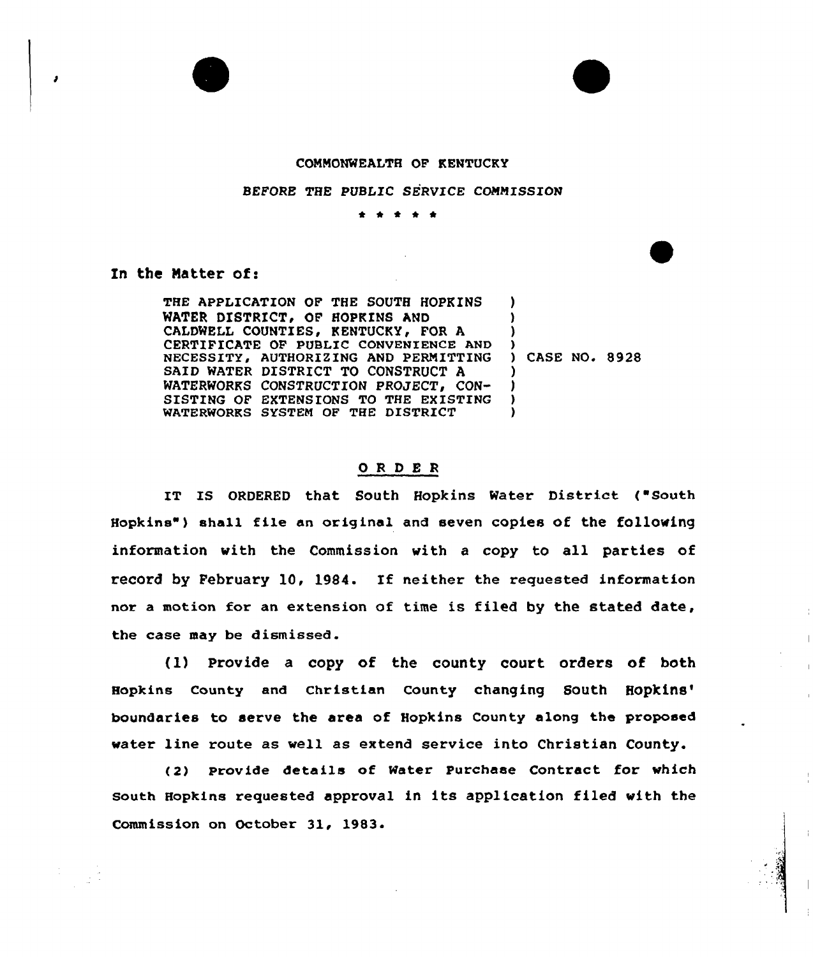

## CONNONWEALTH OF KENTUCKY

## BEFORE THE PUBLIC SERVICE COMMISSION

\* \* <sup>4</sup> \* \*

## In the Matter of:

THE APPLICATION OF THE SOUTH HOPKINS WATER DISTRICT, OF HOPKINS AND CALDWELL COUNTIES, KENTUCKY, FOR A CERTIFICATE OF PUBLIC CONVENIENCE AND NECESSITY, AUTHORIZING AND PERMITTING SAID WATER DISTRICT TO CONSTRUCT A WATERWORKS CONSTRUCTION PROJECT, CON-SISTING OF EXTENSIONS TO THE EXISTING WATERWORKS SYSTEN OF THE DISTRICT ) ) ) ) ) ) ) )

) CASE NO. 8928

## ORDER

IT IS ORDERED that South Hopkins Water District ("South Hopkins" ) shall file an original and seven copies of the following information with the Commission with <sup>a</sup> copy to all parties of record by February 10, 1984. If neither the requested information nor a motion for an extension of time is filed by the stated date, the case may be dismissed.

(1) Provide a copy of the county court orders of both Hopkins County and Christian County changing South to serve the area of Hopkins County along the propose water line route as well as extend service into Christian County.

(2) provide details of Water Purchase Contract for which south Hopkins requested approval in its application filed with the Commission on October 31, 1983.